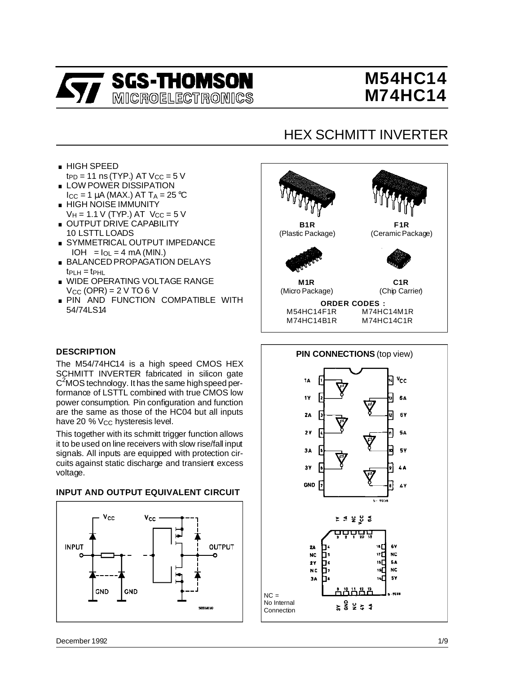

# **M54HC14 M74HC14**

## HEX SCHMITT INVERTER

- . HIGH SPEED  $tp<sub>D</sub> = 11$  ns (TYP.) AT  $V<sub>CC</sub> = 5$  V
- **LOW POWER DISSIPATION**  $I_{\rm CC}$  = 1  $\mu$ A (MAX.) AT T<sub>A</sub> = 25 °C
- . HIGH NOISE IMMUNITY  $V_{\mathsf{H}}$  = 1.1 V (TYP.) AT  $V_{\mathsf{CC}}$  = 5 V ■ HIGH NOISE IMMUNITY<br>  $V_{\text{H}}$  = 1.1 V (TYP.) AT  $V_{\text{CC}}$  = 5<br>
■ OUTPUT DRIVE CAPABILITY
- 10 LSTTL LOADS ■ OUTPUT DRIVE CAPABILITY<br>10 LSTTL LOADS<br>■ SYMMETRICAL OUTPUT IMPEDANCE
- $|OH| = I_{OL} = 4$  mA (MIN.)
- . BALANCED PROPAGATION DELAYS  $tp<sub>CH</sub> = tp<sub>HL</sub>$
- **NIDE OPERATING VOLTAGE RANGE**  $V_{CC}$  (OPR) = 2 V TO 6 V
- **PIN AND FUNCTION COMPATIBLE WITH** 54/74LS14

## **DESCRIPTION**

The M54/74HC14 is a high speed CMOS HEX SCHMITT INVERTER fabricated in silicon gate C2 MOS technology. It has the same highspeed performance of LSTTL combined with true CMOS low power consumption. Pin configuration and function are the same as those of the HC04 but all inputs have 20 % Vcc hysteresis level.

This together with its schmitt trigger function allows it to be used on line receivers with slow rise/fall input signals. All inputs are equipped with protection circuits against static discharge and transient excess voltage.

## **INPUT AND OUTPUT EQUIVALENT CIRCUIT**





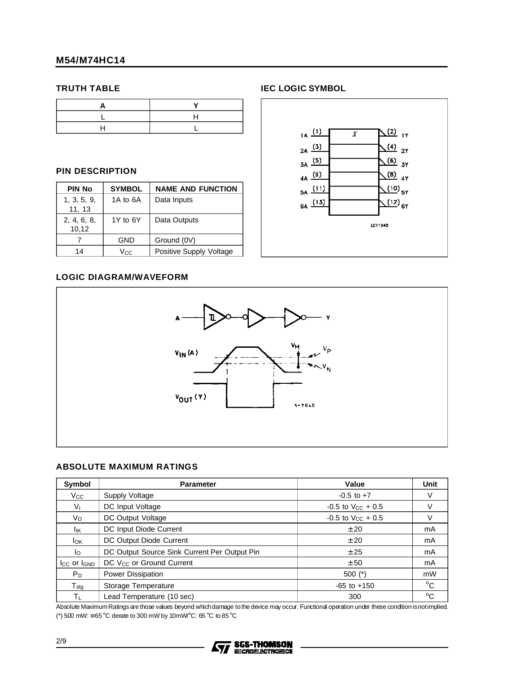#### **TRUTH TABLE**

### **PIN DESCRIPTION**

| <b>PIN No</b>         | <b>SYMBOL</b> | <b>NAME AND FUNCTION</b> |
|-----------------------|---------------|--------------------------|
| 1, 3, 5, 9,<br>11, 13 | 1A to 6A      | Data Inputs              |
| 2, 4, 6, 8,<br>10,12  | 1Y to 6Y      | Data Outputs             |
|                       | GND           | Ground (0V)              |
| 14                    | Vcc.          | Positive Supply Voltage  |

#### **IEC LOGIC SYMBOL**



### **LOGIC DIAGRAM/WAVEFORM**



### **ABSOLUTE MAXIMUM RATINGS**

| Symbol                      | <b>Parameter</b>                             | Value                    | Unit         |
|-----------------------------|----------------------------------------------|--------------------------|--------------|
| $V_{\rm CC}$                | Supply Voltage                               | $-0.5$ to $+7$           | V            |
| V <sub>I</sub>              | DC Input Voltage                             | $-0.5$ to $V_{CC}$ + 0.5 | V            |
| Vo                          | DC Output Voltage                            | $-0.5$ to $V_{CC}$ + 0.5 | V            |
| lικ                         | DC Input Diode Current                       | ± 20                     | mA           |
| lok.                        | DC Output Diode Current                      | ± 20                     | mA           |
| lo.                         | DC Output Source Sink Current Per Output Pin | ± 25                     | mA           |
| $I_{CC}$ or $I_{GND}$       | DC V <sub>CC</sub> or Ground Current         | ± 50                     | mA           |
| $P_D$                       | Power Dissipation                            | $500$ (*)                | mW           |
| $\mathsf{T}_{\mathsf{stg}}$ | Storage Temperature                          | $-65$ to $+150$          | $^{\circ}C$  |
| $\mathsf{T}_\mathsf{L}$     | Lead Temperature (10 sec)                    | 300                      | $^{\circ}$ C |

Absolute MaximumRatings are those values beyond whichdamage tothe device may occur. Functional operation under these condition isnotimplied. (\*) 500 mW:  $\approx$  65 °C derate to 300 mW by 10mW/°C: 65 °C to 85 °C

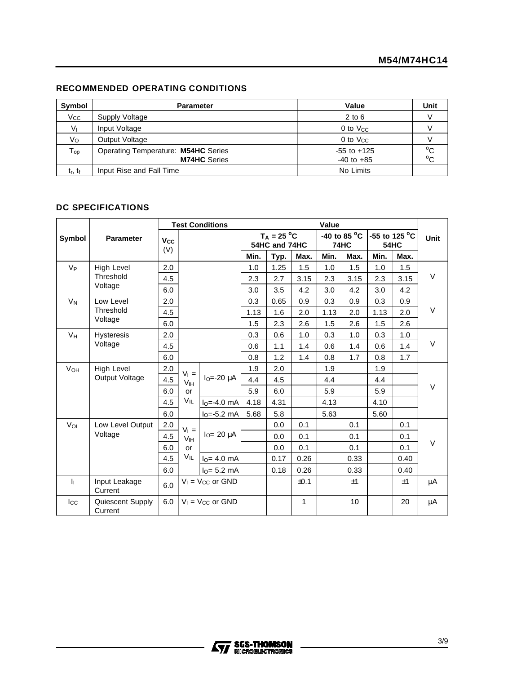## **RECOMMENDED OPERATING CONDITIONS**

| Symbol                      | <b>Parameter</b>                                           | Value                             | Unit                         |
|-----------------------------|------------------------------------------------------------|-----------------------------------|------------------------------|
| $V_{\rm CC}$                | Supply Voltage                                             | $2$ to $6$                        |                              |
| V <sub>1</sub>              | Input Voltage                                              | 0 to $V_{CC}$                     |                              |
| Vo                          | Output Voltage                                             | $0$ to $V_{CC}$                   |                              |
| ${\mathsf T}_{\mathsf{op}}$ | Operating Temperature: M54HC Series<br><b>M74HC</b> Series | $-55$ to $+125$<br>$-40$ to $+85$ | $^{\circ}$ C<br>$^{\circ}$ C |
| $t_r$ , $t_f$               | Input Rise and Fall Time                                   | No Limits                         |                              |

### **DC SPECIFICATIONS**

|                           |                             | <b>Test Conditions</b> |                 | Value                   |      |                                |              |      |                                |      |                              |      |
|---------------------------|-----------------------------|------------------------|-----------------|-------------------------|------|--------------------------------|--------------|------|--------------------------------|------|------------------------------|------|
| Symbol                    | <b>Parameter</b>            | Vcc<br>(V)             |                 |                         |      | $T_A = 25 °C$<br>54HC and 74HC |              |      | -40 to 85 $^{\circ}$ C<br>74HC |      | -55 to 125 °C<br><b>54HC</b> | Unit |
|                           |                             |                        |                 |                         | Min. | Typ.                           | Max.         | Min. | Max.                           | Min. | Max.                         |      |
| $V_{P}$                   | <b>High Level</b>           | 2.0                    |                 |                         | 1.0  | 1.25                           | 1.5          | 1.0  | 1.5                            | 1.0  | 1.5                          |      |
|                           | Threshold                   | 4.5                    |                 |                         | 2.3  | 2.7                            | 3.15         | 2.3  | 3.15                           | 2.3  | 3.15                         | V    |
|                           | Voltage                     | 6.0                    |                 |                         | 3.0  | 3.5                            | 4.2          | 3.0  | 4.2                            | 3.0  | 4.2                          |      |
| $V_N$                     | Low Level                   | 2.0                    |                 |                         | 0.3  | 0.65                           | 0.9          | 0.3  | 0.9                            | 0.3  | 0.9                          |      |
|                           | Threshold                   | 4.5                    |                 |                         | 1.13 | 1.6                            | 2.0          | 1.13 | 2.0                            | 1.13 | 2.0                          | V    |
|                           | Voltage                     | 6.0                    |                 |                         | 1.5  | 2.3                            | 2.6          | 1.5  | 2.6                            | 1.5  | 2.6                          |      |
| $V_H$                     | <b>Hysteresis</b>           | 2.0                    |                 |                         | 0.3  | 0.6                            | 1.0          | 0.3  | 1.0                            | 0.3  | 1.0                          |      |
|                           | Voltage                     | 4.5                    |                 |                         | 0.6  | 1.1                            | 1.4          | 0.6  | 1.4                            | 0.6  | 1.4                          | V    |
|                           |                             | 6.0                    |                 |                         | 0.8  | 1.2                            | 1.4          | 0.8  | 1.7                            | 0.8  | 1.7                          |      |
| <b>V</b> <sub>OН</sub>    | <b>High Level</b>           | 2.0                    | $V_1 =$         |                         | 1.9  | 2.0                            |              | 1.9  |                                | 1.9  |                              |      |
|                           | Output Voltage              | 4.5                    | V <sub>IH</sub> | $IO=-20 \mu A$          | 4.4  | 4.5                            |              | 4.4  |                                | 4.4  |                              |      |
|                           |                             | 6.0                    | or              |                         | 5.9  | 6.0                            |              | 5.9  |                                | 5.9  |                              | V    |
|                           |                             | 4.5                    | VIL             | $IO=-4.0$ mA            | 4.18 | 4.31                           |              | 4.13 |                                | 4.10 |                              |      |
|                           |                             | 6.0                    |                 | $I_0 = -5.2$ mA         | 5.68 | 5.8                            |              | 5.63 |                                | 5.60 |                              |      |
| $V_{\Omega L}$            | Low Level Output            | 2.0                    | $V_1 =$         |                         |      | 0.0                            | 0.1          |      | 0.1                            |      | 0.1                          |      |
|                           | Voltage                     | 4.5                    | V <sub>IH</sub> | $IO= 20 \mu A$          |      | 0.0                            | 0.1          |      | 0.1                            |      | 0.1                          |      |
|                           |                             | 6.0                    | or              |                         |      | 0.0                            | 0.1          |      | 0.1                            |      | 0.1                          | V    |
|                           |                             | 4.5                    | $V_{IL}$        | $I_{\Omega} = 4.0$ mA   |      | 0.17                           | 0.26         |      | 0.33                           |      | 0.40                         |      |
|                           |                             | 6.0                    |                 | $IO= 5.2 mA$            |      | 0.18                           | 0.26         |      | 0.33                           |      | 0.40                         |      |
| $\mathbf{I}_{\mathbf{I}}$ | Input Leakage<br>Current    | 6.0                    |                 | $V_1$ = $V_{CC}$ or GND |      |                                | ±0.1         |      | ±1                             |      | ±1                           | μA   |
| $_{\rm lcc}$              | Quiescent Supply<br>Current | 6.0                    |                 | $V_1$ = $V_{CC}$ or GND |      |                                | $\mathbf{1}$ |      | 10                             |      | 20                           | μA   |

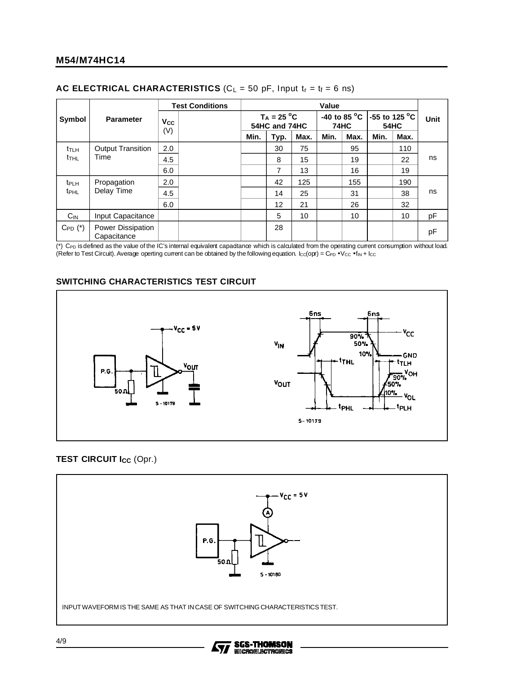| AC ELECTRICAL CHARACTERISTICS ( $C_L = 50$ pF, Input $t_r = t_f = 6$ ns) |  |
|--------------------------------------------------------------------------|--|
|--------------------------------------------------------------------------|--|

|                         |                                  | <b>Test Conditions</b> |  | Value |                                |      |      |             |      |                                                   |    |
|-------------------------|----------------------------------|------------------------|--|-------|--------------------------------|------|------|-------------|------|---------------------------------------------------|----|
| Symbol                  | <b>Parameter</b>                 | Vcc                    |  |       | $T_A = 25 °C$<br>54HC and 74HC |      |      | <b>74HC</b> |      | -40 to 85 °C $\vert$ -55 to 125 °C<br><b>54HC</b> |    |
|                         |                                  | (V)                    |  | Min.  | Typ.                           | Max. | Min. | Max.        | Min. | Max.                                              |    |
| $t_{TLH}$               | <b>Output Transition</b>         | 2.0                    |  |       | 30                             | 75   |      | 95          |      | 110                                               |    |
| t <sub>THL</sub>        | Time                             | 4.5                    |  |       | 8                              | 15   |      | 19          |      | 22                                                | ns |
|                         |                                  | 6.0                    |  |       | 7                              | 13   |      | 16          |      | 19                                                |    |
| t <sub>PLH</sub>        | Propagation                      | 2.0                    |  |       | 42                             | 125  |      | 155         |      | 190                                               |    |
| <b>t</b> <sub>PHL</sub> | Delay Time                       | 4.5                    |  |       | 14                             | 25   |      | 31          |      | 38                                                | ns |
|                         |                                  | 6.0                    |  |       | 12                             | 21   |      | 26          |      | 32                                                |    |
| $C_{IN}$                | Input Capacitance                |                        |  |       | 5                              | 10   |      | 10          |      | 10                                                | pF |
| $C_{PD}$ $(*)$          | Power Dissipation<br>Capacitance |                        |  |       | 28                             |      |      |             |      |                                                   | pF |

(\*) C<sub>PD</sub> is defined as the value of the IC's internal equivalent capacitance which is calculated from the operating current consumption without load. (Refer to Test Circuit). Average operting current can be obtained by the following equation.  $lc<sub>C</sub>(opr) = C<sub>PD</sub> \cdot V<sub>CC</sub> \cdot f<sub>IN</sub> + lc<sub>C</sub>$ 

### **SWITCHING CHARACTERISTICS TEST CIRCUIT**



## **TEST CIRCUIT Icc (Opr.)**



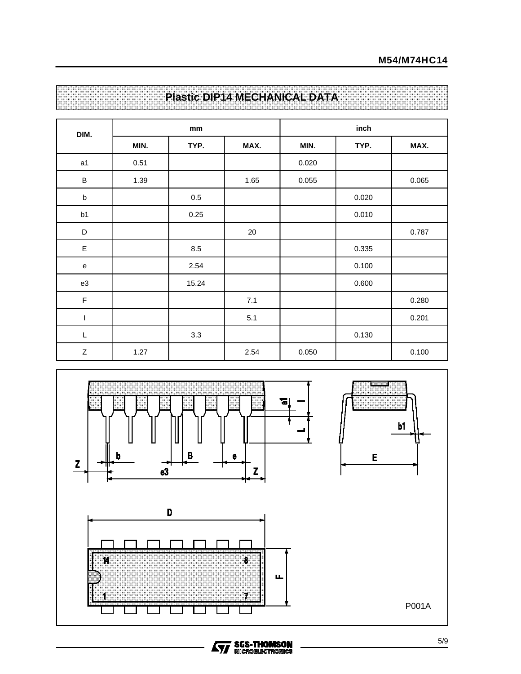| DIM.                              |      | mm      |      | inch  |       |       |  |
|-----------------------------------|------|---------|------|-------|-------|-------|--|
|                                   | MIN. | TYP.    | MAX. | MIN.  | TYP.  | MAX.  |  |
| a1                                | 0.51 |         |      | 0.020 |       |       |  |
| $\sf B$                           | 1.39 |         | 1.65 | 0.055 |       | 0.065 |  |
| $\sf b$                           |      | $0.5\,$ |      |       | 0.020 |       |  |
| b1                                |      | 0.25    |      |       | 0.010 |       |  |
| D                                 |      |         | 20   |       |       | 0.787 |  |
| $\mathsf E$                       |      | 8.5     |      |       | 0.335 |       |  |
| $\mathsf{e}% _{t}\left( t\right)$ |      | 2.54    |      |       | 0.100 |       |  |
| e3                                |      | 15.24   |      |       | 0.600 |       |  |
| $\mathsf F$                       |      |         | 7.1  |       |       | 0.280 |  |
| J.                                |      |         | 5.1  |       |       | 0.201 |  |
| $\mathsf L$                       |      | 3.3     |      |       | 0.130 |       |  |
| $\boldsymbol{Z}$                  | 1.27 |         | 2.54 | 0.050 |       | 0.100 |  |

## **Plastic DIP14 MECHANICAL DATA**



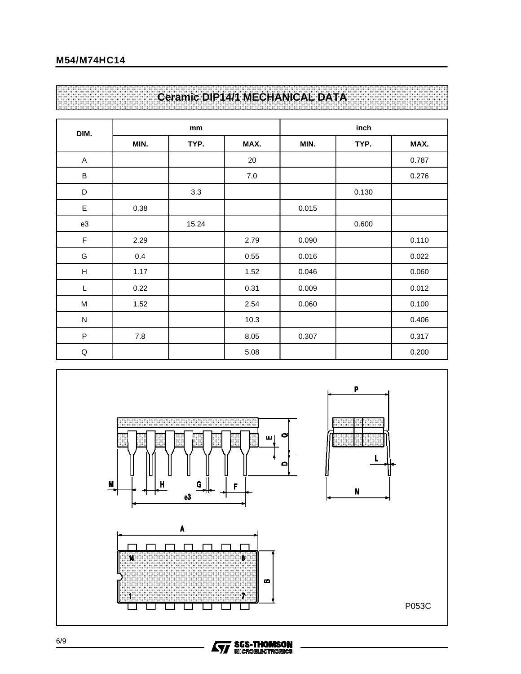## **Ceramic DIP14/1 MECHANICAL DATA**

| DIM.                      |      | mm    |      | inch  |       |       |  |
|---------------------------|------|-------|------|-------|-------|-------|--|
|                           | MIN. | TYP.  | MAX. | MIN.  | TYP.  | MAX.  |  |
| $\boldsymbol{\mathsf{A}}$ |      |       | 20   |       |       | 0.787 |  |
| $\sf B$                   |      |       | 7.0  |       |       | 0.276 |  |
| D                         |      | 3.3   |      |       | 0.130 |       |  |
| E                         | 0.38 |       |      | 0.015 |       |       |  |
| e3                        |      | 15.24 |      |       | 0.600 |       |  |
| F                         | 2.29 |       | 2.79 | 0.090 |       | 0.110 |  |
| G                         | 0.4  |       | 0.55 | 0.016 |       | 0.022 |  |
| $\boldsymbol{\mathsf{H}}$ | 1.17 |       | 1.52 | 0.046 |       | 0.060 |  |
| L                         | 0.22 |       | 0.31 | 0.009 |       | 0.012 |  |
| M                         | 1.52 |       | 2.54 | 0.060 |       | 0.100 |  |
| ${\sf N}$                 |      |       | 10.3 |       |       | 0.406 |  |
| $\sf P$                   | 7.8  |       | 8.05 | 0.307 |       | 0.317 |  |
| $\sf Q$                   |      |       | 5.08 |       |       | 0.200 |  |

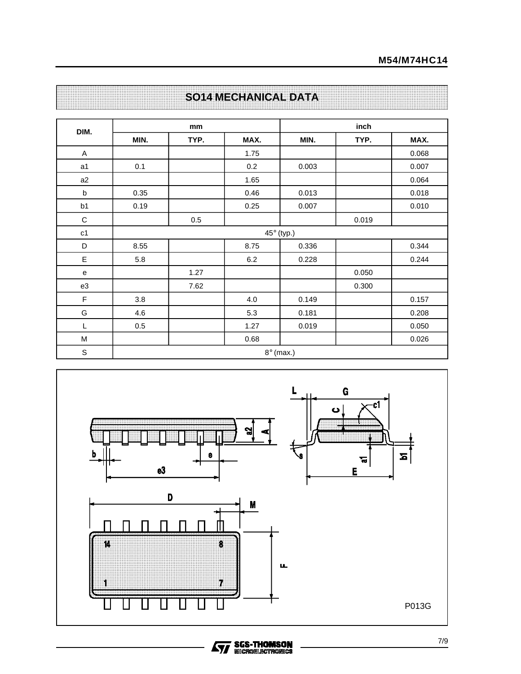| DIM.           |         | mm   |         | inch              |       |       |  |
|----------------|---------|------|---------|-------------------|-------|-------|--|
|                | MIN.    | TYP. | MAX.    | MIN.              | TYP.  | MAX.  |  |
| A              |         |      | 1.75    |                   |       | 0.068 |  |
| a <sub>1</sub> | 0.1     |      | 0.2     | 0.003             |       | 0.007 |  |
| a2             |         |      | 1.65    |                   |       | 0.064 |  |
| b              | 0.35    |      | 0.46    | 0.013             |       | 0.018 |  |
| b1             | 0.19    |      | 0.25    | 0.007             |       | 0.010 |  |
| $\mathbf C$    |         | 0.5  |         |                   | 0.019 |       |  |
| $\mathtt{c1}$  |         |      |         | $45^\circ$ (typ.) |       |       |  |
| D              | 8.55    |      | 8.75    | 0.336             |       | 0.344 |  |
| E              | 5.8     |      | $6.2\,$ | 0.228             |       | 0.244 |  |
| e              |         | 1.27 |         |                   | 0.050 |       |  |
| e3             |         | 7.62 |         |                   | 0.300 |       |  |
| F              | 3.8     |      | 4.0     | 0.149             |       | 0.157 |  |
| G              | 4.6     |      | 5.3     | 0.181             |       | 0.208 |  |
| L              | $0.5\,$ |      | 1.27    | 0.019             |       | 0.050 |  |
| M              |         |      | 0.68    |                   |       | 0.026 |  |
| $\mathbb S$    |         |      |         | $8^\circ$ (max.)  |       |       |  |

## **SO14 MECHANICAL DATA**

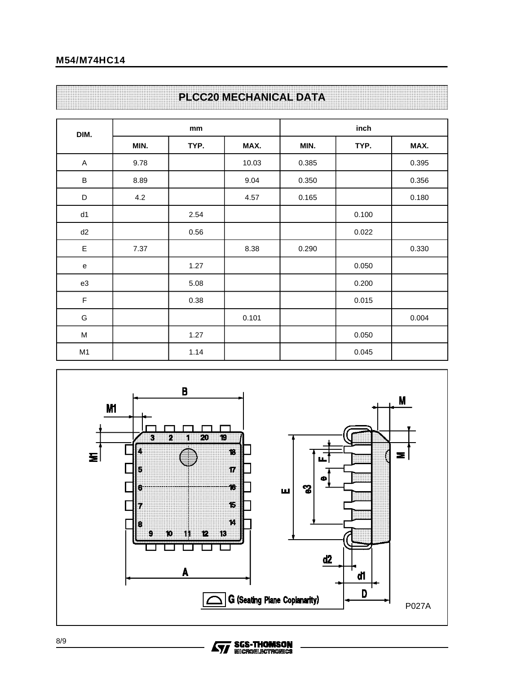## **M54/M74HC14**

## **PLCC20 MECHANICAL DATA**

| DIM.                      |      | mm   |       | inch  |       |       |  |
|---------------------------|------|------|-------|-------|-------|-------|--|
|                           | MIN. | TYP. | MAX.  | MIN.  | TYP.  | MAX.  |  |
| $\boldsymbol{\mathsf{A}}$ | 9.78 |      | 10.03 | 0.385 |       | 0.395 |  |
| $\sf B$                   | 8.89 |      | 9.04  | 0.350 |       | 0.356 |  |
| $\mathsf D$               | 4.2  |      | 4.57  | 0.165 |       | 0.180 |  |
| d1                        |      | 2.54 |       |       | 0.100 |       |  |
| d2                        |      | 0.56 |       |       | 0.022 |       |  |
| E                         | 7.37 |      | 8.38  | 0.290 |       | 0.330 |  |
| e                         |      | 1.27 |       |       | 0.050 |       |  |
| e3                        |      | 5.08 |       |       | 0.200 |       |  |
| F                         |      | 0.38 |       |       | 0.015 |       |  |
| G                         |      |      | 0.101 |       |       | 0.004 |  |
| M                         |      | 1.27 |       |       | 0.050 |       |  |
| M <sub>1</sub>            |      | 1.14 |       |       | 0.045 |       |  |